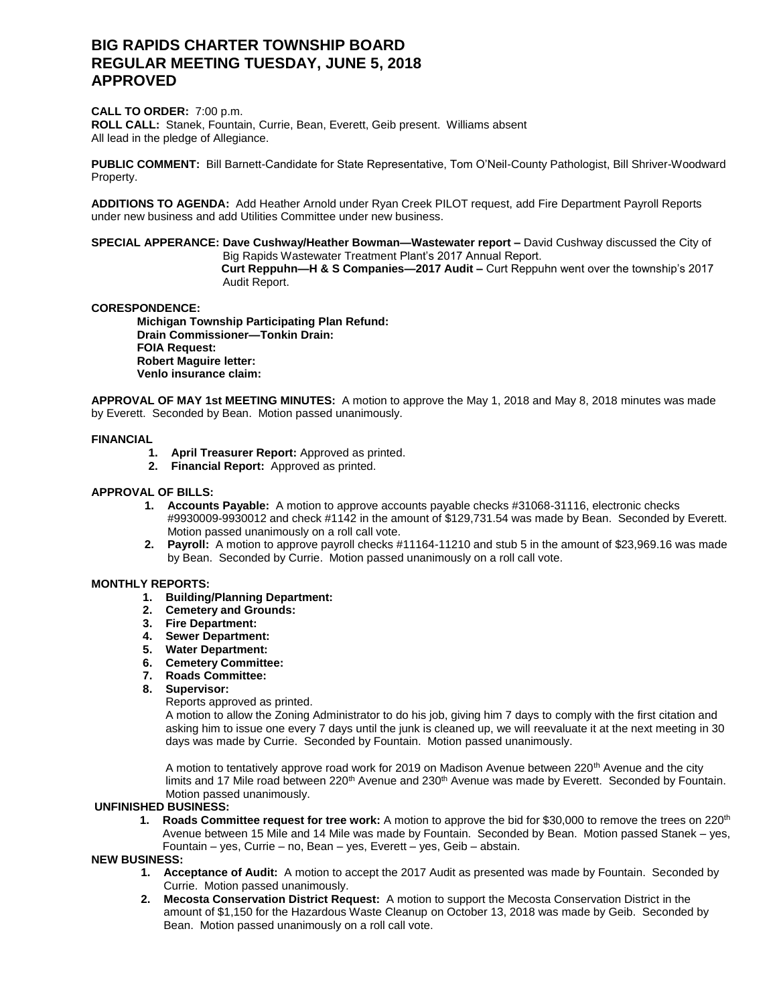# **BIG RAPIDS CHARTER TOWNSHIP BOARD REGULAR MEETING TUESDAY, JUNE 5, 2018 APPROVED**

## **CALL TO ORDER:** 7:00 p.m.

**ROLL CALL:** Stanek, Fountain, Currie, Bean, Everett, Geib present. Williams absent All lead in the pledge of Allegiance.

**PUBLIC COMMENT:** Bill Barnett-Candidate for State Representative, Tom O'Neil-County Pathologist, Bill Shriver-Woodward Property.

**ADDITIONS TO AGENDA:** Add Heather Arnold under Ryan Creek PILOT request, add Fire Department Payroll Reports under new business and add Utilities Committee under new business.

# **SPECIAL APPERANCE: Dave Cushway/Heather Bowman—Wastewater report –** David Cushway discussed the City of Big Rapids Wastewater Treatment Plant's 2017 Annual Report.

 **Curt Reppuhn—H & S Companies—2017 Audit –** Curt Reppuhn went over the township's 2017 Audit Report.

# **CORESPONDENCE:**

**Michigan Township Participating Plan Refund: Drain Commissioner—Tonkin Drain: FOIA Request: Robert Maguire letter: Venlo insurance claim:** 

**APPROVAL OF MAY 1st MEETING MINUTES:** A motion to approve the May 1, 2018 and May 8, 2018 minutes was made by Everett. Seconded by Bean. Motion passed unanimously.

# **FINANCIAL**

- **1. April Treasurer Report:** Approved as printed.
- **2. Financial Report:** Approved as printed.

### **APPROVAL OF BILLS:**

- **1. Accounts Payable:** A motion to approve accounts payable checks #31068-31116, electronic checks #9930009-9930012 and check #1142 in the amount of \$129,731.54 was made by Bean. Seconded by Everett. Motion passed unanimously on a roll call vote.
- **2. Payroll:** A motion to approve payroll checks #11164-11210 and stub 5 in the amount of \$23,969.16 was made by Bean. Seconded by Currie. Motion passed unanimously on a roll call vote.

#### **MONTHLY REPORTS:**

- **1. Building/Planning Department:**
- **2. Cemetery and Grounds:**
- **3. Fire Department:**
- **4. Sewer Department:**
- **5. Water Department:**
- **6. Cemetery Committee:**
- **7. Roads Committee:**
- **8. Supervisor:**

Reports approved as printed.

A motion to allow the Zoning Administrator to do his job, giving him 7 days to comply with the first citation and asking him to issue one every 7 days until the junk is cleaned up, we will reevaluate it at the next meeting in 30 days was made by Currie. Seconded by Fountain. Motion passed unanimously.

A motion to tentatively approve road work for 2019 on Madison Avenue between 220<sup>th</sup> Avenue and the city limits and 17 Mile road between 220<sup>th</sup> Avenue and 230<sup>th</sup> Avenue was made by Everett. Seconded by Fountain. Motion passed unanimously.

#### **UNFINISHED BUSINESS:**

**1.** Roads Committee request for tree work: A motion to approve the bid for \$30,000 to remove the trees on 220<sup>th</sup> Avenue between 15 Mile and 14 Mile was made by Fountain. Seconded by Bean. Motion passed Stanek – yes, Fountain – yes, Currie – no, Bean – yes, Everett – yes, Geib – abstain.

### **NEW BUSINESS:**

- **1. Acceptance of Audit:** A motion to accept the 2017 Audit as presented was made by Fountain. Seconded by Currie. Motion passed unanimously.
- **2. Mecosta Conservation District Request:** A motion to support the Mecosta Conservation District in the amount of \$1,150 for the Hazardous Waste Cleanup on October 13, 2018 was made by Geib. Seconded by Bean. Motion passed unanimously on a roll call vote.